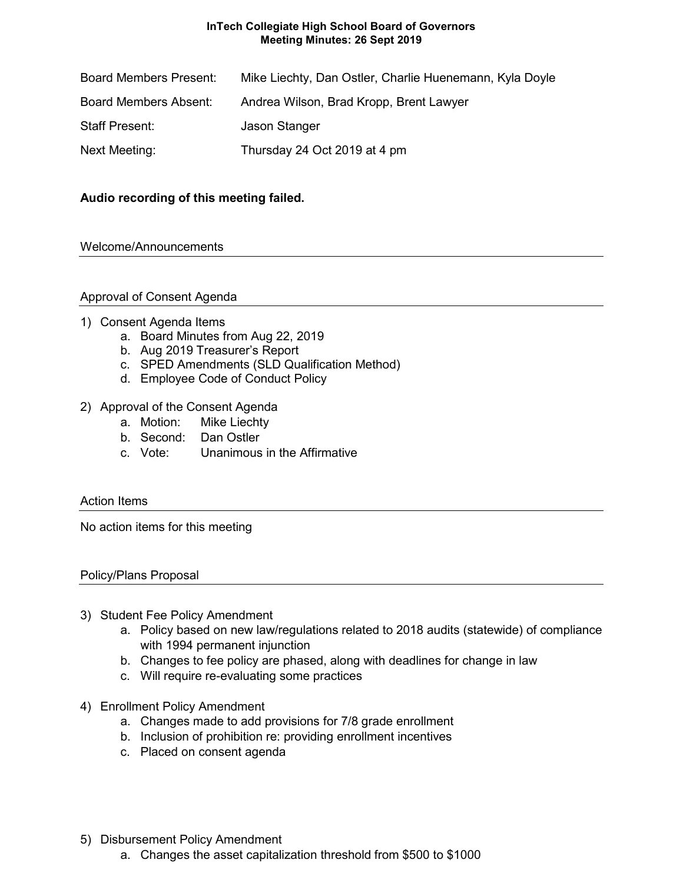## **InTech Collegiate High School Board of Governors Meeting Minutes: 26 Sept 2019**

| <b>Board Members Present:</b> | Mike Liechty, Dan Ostler, Charlie Huenemann, Kyla Doyle |
|-------------------------------|---------------------------------------------------------|
| <b>Board Members Absent:</b>  | Andrea Wilson, Brad Kropp, Brent Lawyer                 |
| <b>Staff Present:</b>         | Jason Stanger                                           |
| Next Meeting:                 | Thursday 24 Oct 2019 at 4 pm                            |

# **Audio recording of this meeting failed.**

## Welcome/Announcements

## Approval of Consent Agenda

## 1) Consent Agenda Items

- a. Board Minutes from Aug 22, 2019
- b. Aug 2019 Treasurer's Report
- c. SPED Amendments (SLD Qualification Method)
- d. Employee Code of Conduct Policy

## 2) Approval of the Consent Agenda

- a. Motion: Mike Liechty
- b. Second: Dan Ostler
- c. Vote: Unanimous in the Affirmative

### Action Items

No action items for this meeting

### Policy/Plans Proposal

- 3) Student Fee Policy Amendment
	- a. Policy based on new law/regulations related to 2018 audits (statewide) of compliance with 1994 permanent injunction
	- b. Changes to fee policy are phased, along with deadlines for change in law
	- c. Will require re-evaluating some practices
- 4) Enrollment Policy Amendment
	- a. Changes made to add provisions for 7/8 grade enrollment
	- b. Inclusion of prohibition re: providing enrollment incentives
	- c. Placed on consent agenda
- 5) Disbursement Policy Amendment
	- a. Changes the asset capitalization threshold from \$500 to \$1000